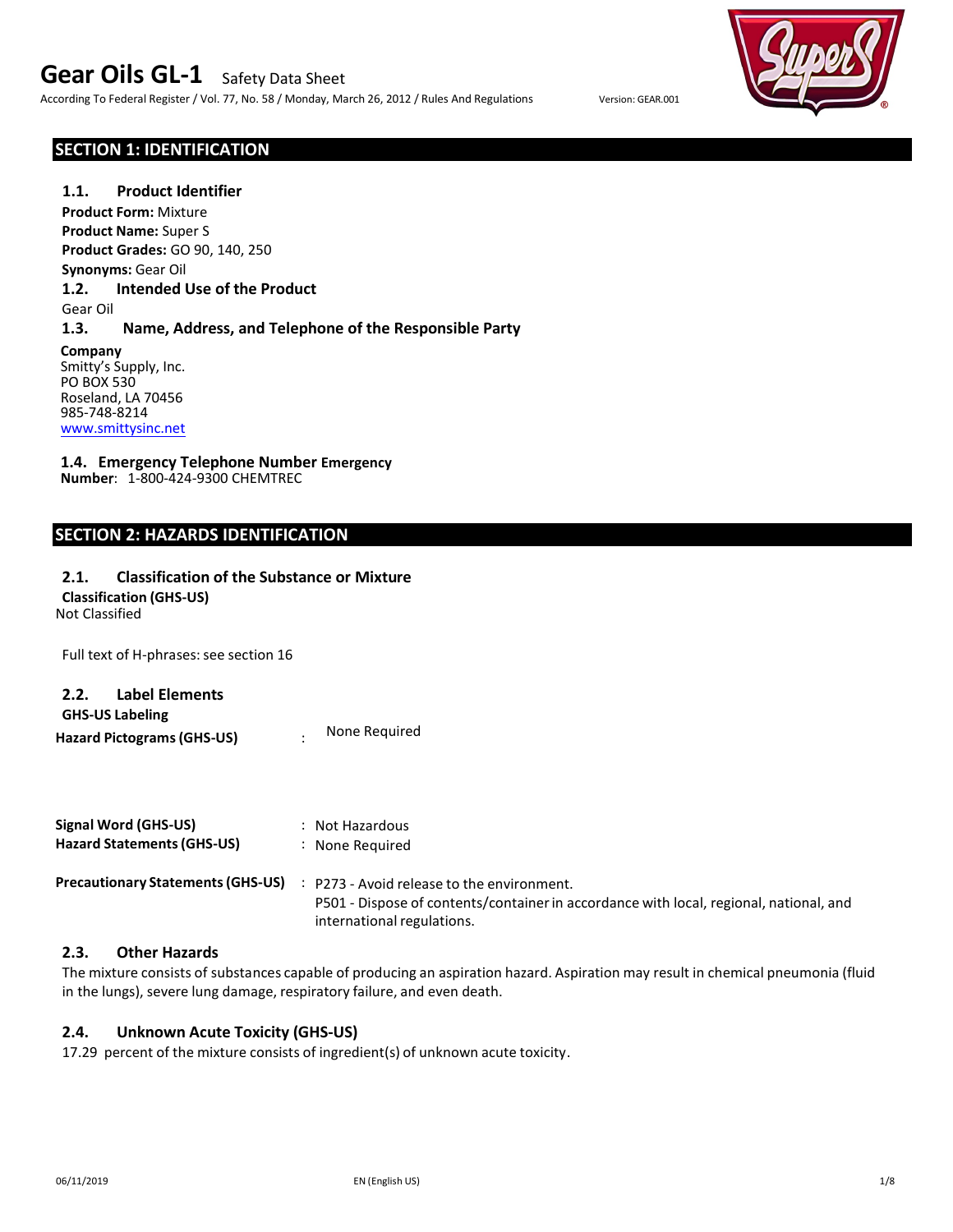According To Federal Register / Vol. 77, No. 58 / Monday, March 26, 2012 / Rules And Regulations Version: GEAR.001

# **SECTION 1: IDENTIFICATION**

### **1.1. Product Identifier**

**Product Form:** Mixture **Product Name:** Super S **Product Grades:** GO 90, 140, 250 **Synonyms:** Gear Oil **1.2. Intended Use of the Product** Gear Oil

### **1.3. Name, Address, and Telephone of the Responsible Party**

**Company** Smitty's Supply, Inc. PO BOX 530 Roseland, LA 70456 985-748-8214 www.smittysinc.net

# **1.4. Emergency Telephone Number Emergency**

**Numbe**r: 1-800-424-9300 CHEMTREC

# **SECTION 2: HAZARDS IDENTIFICATION**

# **2.1. Classification of the Substance or Mixture**

**Classification (GHS-US)**

Not Classified

Full text of H-phrases: see section 16

# **2.2. Label Elements**

**Hazard Pictograms (GHS-US)** : **GHS-US Labeling** None Required

| Signal Word (GHS-US)<br><b>Hazard Statements (GHS-US)</b> | : Not Hazardous<br>: None Required                                                                                                   |
|-----------------------------------------------------------|--------------------------------------------------------------------------------------------------------------------------------------|
| <b>Precautionary Statements (GHS-US)</b>                  | : P273 - Avoid release to the environment.<br>P501 - Dispose of contents/container in accordance with local, regional, national, and |
|                                                           | international regulations.                                                                                                           |

### **2.3. Other Hazards**

The mixture consists of substances capable of producing an aspiration hazard. Aspiration may result in chemical pneumonia (fluid in the lungs), severe lung damage, respiratory failure, and even death.

### **2.4. Unknown Acute Toxicity (GHS-US)**

17.29 percent of the mixture consists of ingredient(s) of unknown acute toxicity.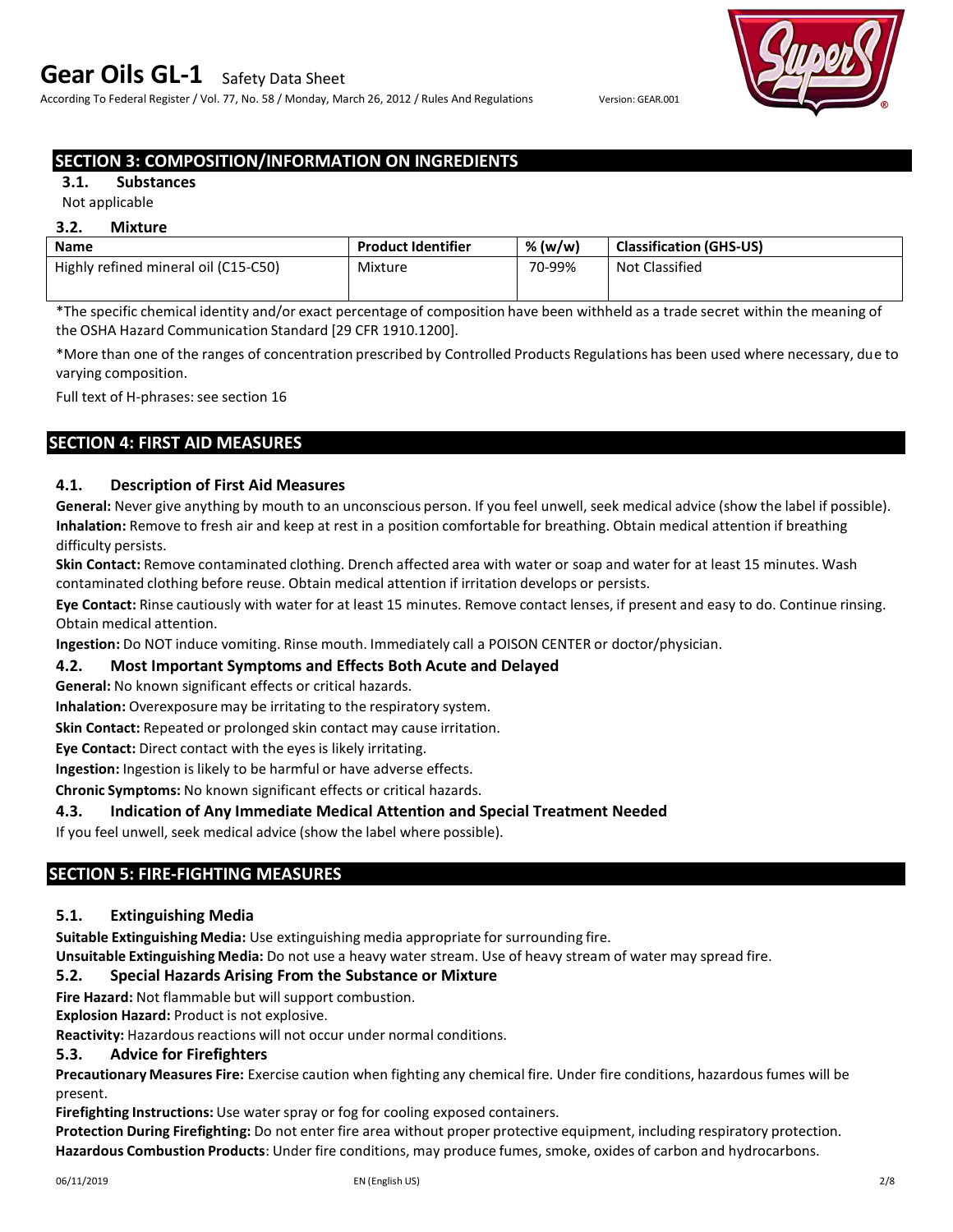According To Federal Register / Vol. 77, No. 58 / Monday, March 26, 2012 / Rules And Regulations Version: GEAR.001



# **SECTION 3: COMPOSITION/INFORMATION ON INGREDIENTS**

# **3.1. Substances**

# Not applicable

#### **3.2. Mixture**

| <b>Name</b>                          | <b>Product Identifier</b> | % (w/w) | <b>Classification (GHS-US)</b> |
|--------------------------------------|---------------------------|---------|--------------------------------|
| Highly refined mineral oil (C15-C50) | Mixture                   | 70-99%  | <b>Not Classified</b>          |
|                                      |                           |         |                                |

\*The specific chemical identity and/or exact percentage of composition have been withheld as a trade secret within the meaning of the OSHA Hazard Communication Standard [29 CFR 1910.1200].

\*More than one of the ranges of concentration prescribed by Controlled Products Regulations has been used where necessary, due to varying composition.

Full text of H-phrases: see section 16

# **SECTION 4: FIRST AID MEASURES**

# **4.1. Description of First Aid Measures**

**General:** Never give anything by mouth to an unconscious person. If you feel unwell, seek medical advice (show the label if possible). **Inhalation:** Remove to fresh air and keep at rest in a position comfortable for breathing. Obtain medical attention if breathing difficulty persists.

**Skin Contact:** Remove contaminated clothing. Drench affected area with water or soap and water for at least 15 minutes. Wash contaminated clothing before reuse. Obtain medical attention if irritation develops or persists.

**Eye Contact:** Rinse cautiously with water for at least 15 minutes. Remove contact lenses, if present and easy to do. Continue rinsing. Obtain medical attention.

**Ingestion:** Do NOT induce vomiting. Rinse mouth. Immediately call a POISON CENTER or doctor/physician.

### **4.2. Most Important Symptoms and Effects Both Acute and Delayed**

**General:** No known significant effects or critical hazards.

**Inhalation:** Overexposure may be irritating to the respiratory system.

**Skin Contact:** Repeated or prolonged skin contact may cause irritation.

**Eye Contact:** Direct contact with the eyes is likely irritating.

**Ingestion:** Ingestion is likely to be harmful or have adverse effects.

**Chronic Symptoms:** No known significant effects or critical hazards.

# **4.3. Indication of Any Immediate Medical Attention and Special Treatment Needed**

If you feel unwell, seek medical advice (show the label where possible).

# **SECTION 5: FIRE-FIGHTING MEASURES**

# **5.1. Extinguishing Media**

**Suitable Extinguishing Media:** Use extinguishing media appropriate for surrounding fire.

**Unsuitable Extinguishing Media:** Do not use a heavy water stream. Use of heavy stream of water may spread fire.

### **5.2. Special Hazards Arising From the Substance or Mixture**

**Fire Hazard:** Not flammable but will support combustion.

**Explosion Hazard:** Product is not explosive.

**Reactivity:** Hazardous reactions will not occur under normal conditions.

### **5.3. Advice for Firefighters**

**Precautionary Measures Fire:** Exercise caution when fighting any chemical fire. Under fire conditions, hazardous fumes will be present.

**Firefighting Instructions:** Use water spray or fog for cooling exposed containers.

**Protection During Firefighting:** Do not enter fire area without proper protective equipment, including respiratory protection. **Hazardous Combustion Products**: Under fire conditions, may produce fumes, smoke, oxides of carbon and hydrocarbons.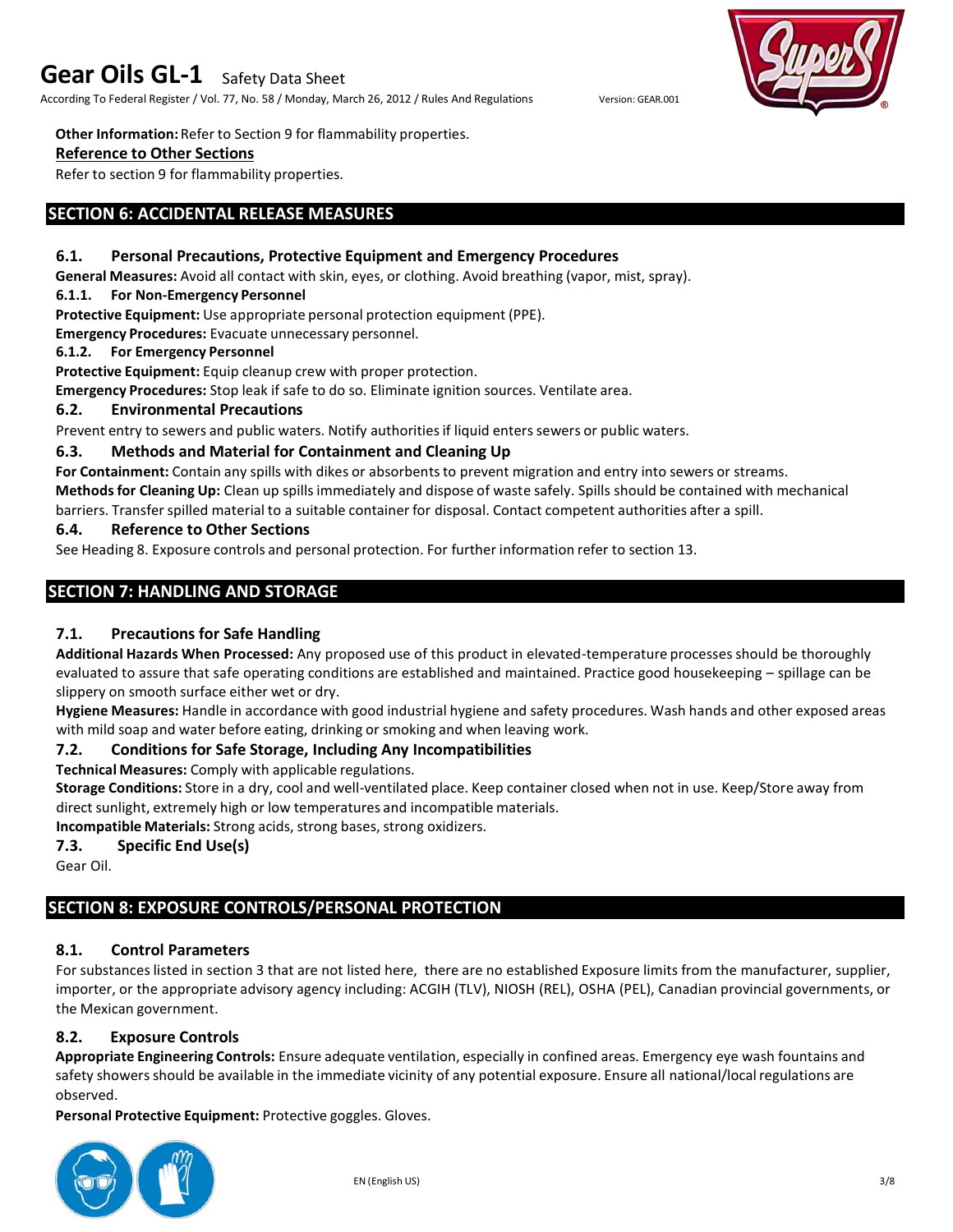According To Federal Register / Vol. 77, No. 58 / Monday, March 26, 2012 / Rules And Regulations Version: GEAR.001

**Other Information:** Refer to Section 9 for flammability properties.

### **Reference to Other Sections**

Refer to section 9 for flammability properties.

# **SECTION 6: ACCIDENTAL RELEASE MEASURES**

### **6.1. Personal Precautions, Protective Equipment and Emergency Procedures**

**General Measures:** Avoid all contact with skin, eyes, or clothing. Avoid breathing (vapor, mist, spray).

#### **6.1.1. For Non-Emergency Personnel**

**Protective Equipment:** Use appropriate personal protection equipment (PPE).

**Emergency Procedures:** Evacuate unnecessary personnel.

#### **6.1.2. For Emergency Personnel**

**Protective Equipment:** Equip cleanup crew with proper protection.

**Emergency Procedures:** Stop leak if safe to do so. Eliminate ignition sources. Ventilate area.

### **6.2. Environmental Precautions**

Prevent entry to sewers and public waters. Notify authoritiesif liquid enters sewers or public waters.

### **6.3. Methods and Material for Containment and Cleaning Up**

**For Containment:** Contain any spills with dikes or absorbents to prevent migration and entry into sewers or streams. **Methods for Cleaning Up:** Clean up spills immediately and dispose of waste safely. Spills should be contained with mechanical barriers. Transfer spilled material to a suitable container for disposal. Contact competent authorities after a spill.

### **6.4. Reference to Other Sections**

See Heading 8. Exposure controls and personal protection. For further information refer to section 13.

# **SECTION 7: HANDLING AND STORAGE**

# **7.1. Precautions for Safe Handling**

**Additional Hazards When Processed:** Any proposed use of this product in elevated-temperature processes should be thoroughly evaluated to assure that safe operating conditions are established and maintained. Practice good housekeeping – spillage can be slippery on smooth surface either wet or dry.

**Hygiene Measures:** Handle in accordance with good industrial hygiene and safety procedures. Wash hands and other exposed areas with mild soap and water before eating, drinking or smoking and when leaving work.

# **7.2. Conditions for Safe Storage, Including Any Incompatibilities**

**Technical Measures:** Comply with applicable regulations.

**Storage Conditions:** Store in a dry, cool and well-ventilated place. Keep container closed when not in use. Keep/Store away from direct sunlight, extremely high or low temperatures and incompatible materials.

**Incompatible Materials:** Strong acids, strong bases, strong oxidizers.

### **7.3. Specific End Use(s)**

Gear Oil.

# **SECTION 8: EXPOSURE CONTROLS/PERSONAL PROTECTION**

# **8.1. Control Parameters**

For substances listed in section 3 that are not listed here, there are no established Exposure limits from the manufacturer, supplier, importer, or the appropriate advisory agency including: ACGIH (TLV), NIOSH (REL), OSHA (PEL), Canadian provincial governments, or the Mexican government.

# **8.2. Exposure Controls**

**Appropriate Engineering Controls:** Ensure adequate ventilation, especially in confined areas. Emergency eye wash fountains and safety showers should be available in the immediate vicinity of any potential exposure. Ensure all national/local regulations are observed.

**Personal Protective Equipment:** Protective goggles. Gloves.



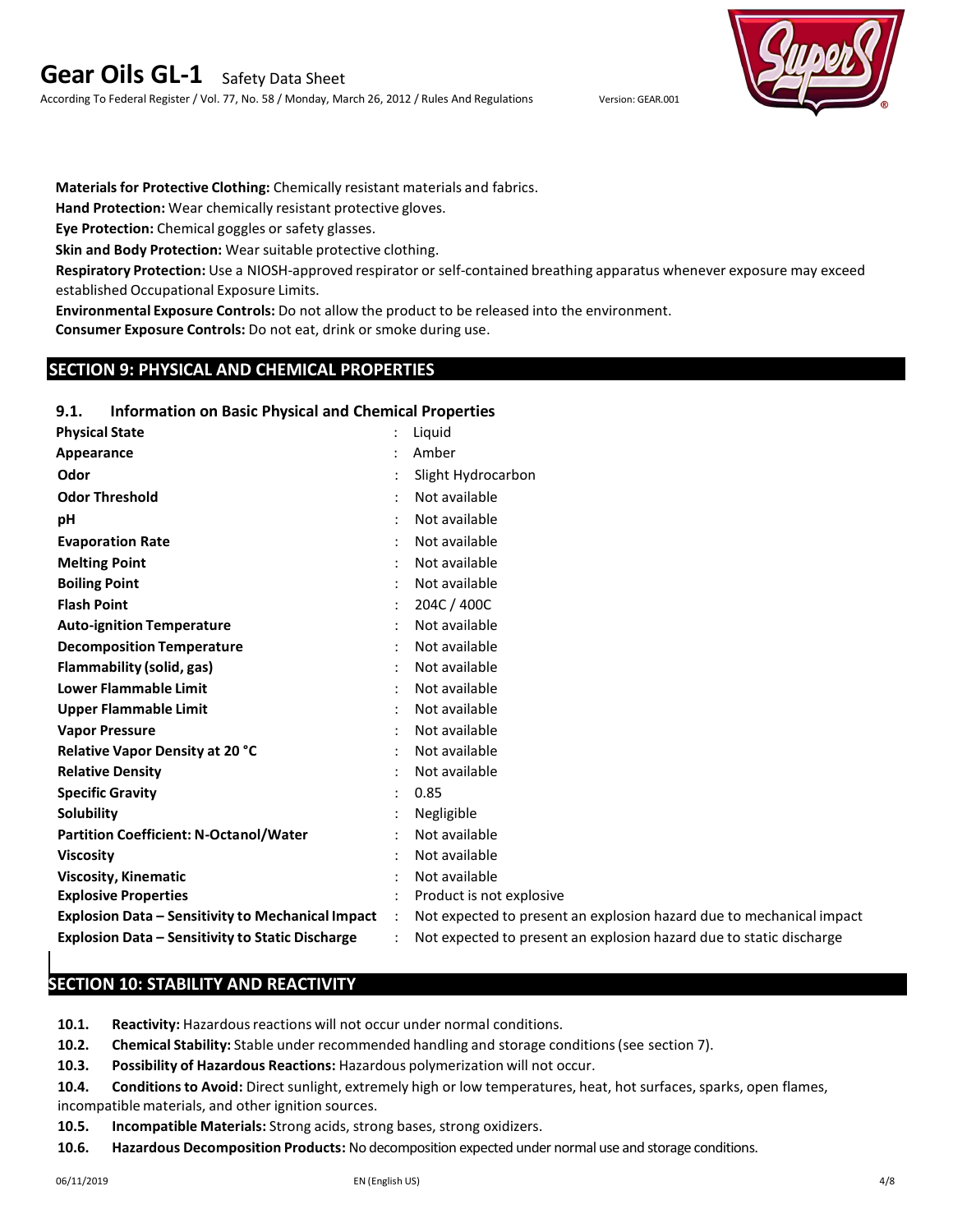According To Federal Register / Vol. 77, No. 58 / Monday, March 26, 2012 / Rules And Regulations Version: GEAR.001



**Materials for Protective Clothing:** Chemically resistant materials and fabrics.

**Hand Protection:** Wear chemically resistant protective gloves.

**Eye Protection:** Chemical goggles or safety glasses.

**Skin and Body Protection:** Wear suitable protective clothing.

**Respiratory Protection:** Use a NIOSH-approved respirator or self-contained breathing apparatus whenever exposure may exceed established Occupational Exposure Limits.

**Environmental Exposure Controls:** Do not allow the product to be released into the environment.

**Consumer Exposure Controls:** Do not eat, drink or smoke during use.

# **SECTION 9: PHYSICAL AND CHEMICAL PROPERTIES**

### **9.1. Information on Basic Physical and Chemical Properties**

| <b>Physical State</b>                                    | Liguid                                                               |
|----------------------------------------------------------|----------------------------------------------------------------------|
| Appearance                                               | Amber                                                                |
| Odor                                                     | Slight Hydrocarbon                                                   |
| <b>Odor Threshold</b>                                    | Not available                                                        |
| рH                                                       | Not available                                                        |
| <b>Evaporation Rate</b>                                  | Not available                                                        |
| <b>Melting Point</b>                                     | Not available                                                        |
| <b>Boiling Point</b>                                     | Not available                                                        |
| <b>Flash Point</b>                                       | 204C / 400C                                                          |
| <b>Auto-ignition Temperature</b>                         | Not available                                                        |
| <b>Decomposition Temperature</b>                         | Not available                                                        |
| Flammability (solid, gas)                                | Not available                                                        |
| <b>Lower Flammable Limit</b>                             | Not available                                                        |
| <b>Upper Flammable Limit</b>                             | Not available                                                        |
| <b>Vapor Pressure</b>                                    | Not available                                                        |
| <b>Relative Vapor Density at 20 °C</b>                   | Not available                                                        |
| <b>Relative Density</b>                                  | Not available                                                        |
| <b>Specific Gravity</b>                                  | 0.85                                                                 |
| Solubility                                               | Negligible                                                           |
| <b>Partition Coefficient: N-Octanol/Water</b>            | Not available                                                        |
| <b>Viscosity</b>                                         | Not available                                                        |
| <b>Viscosity, Kinematic</b>                              | Not available                                                        |
| <b>Explosive Properties</b>                              | Product is not explosive                                             |
| <b>Explosion Data - Sensitivity to Mechanical Impact</b> | Not expected to present an explosion hazard due to mechanical impact |
| <b>Explosion Data - Sensitivity to Static Discharge</b>  | Not expected to present an explosion hazard due to static discharge  |

# **SECTION 10: STABILITY AND REACTIVITY**

**10.1. Reactivity:** Hazardous reactions will not occur under normal conditions.

**10.2. Chemical Stability:** Stable under recommended handling and storage conditions (see section 7).

**10.3. Possibility of Hazardous Reactions:** Hazardous polymerization will not occur.

- **10.4. Conditions to Avoid:** Direct sunlight, extremely high or low temperatures, heat, hot surfaces, sparks, open flames, incompatible materials, and other ignition sources.
- **10.5. Incompatible Materials:** Strong acids, strong bases, strong oxidizers.
- **10.6. Hazardous Decomposition Products:** No decomposition expected under normal use and storage conditions.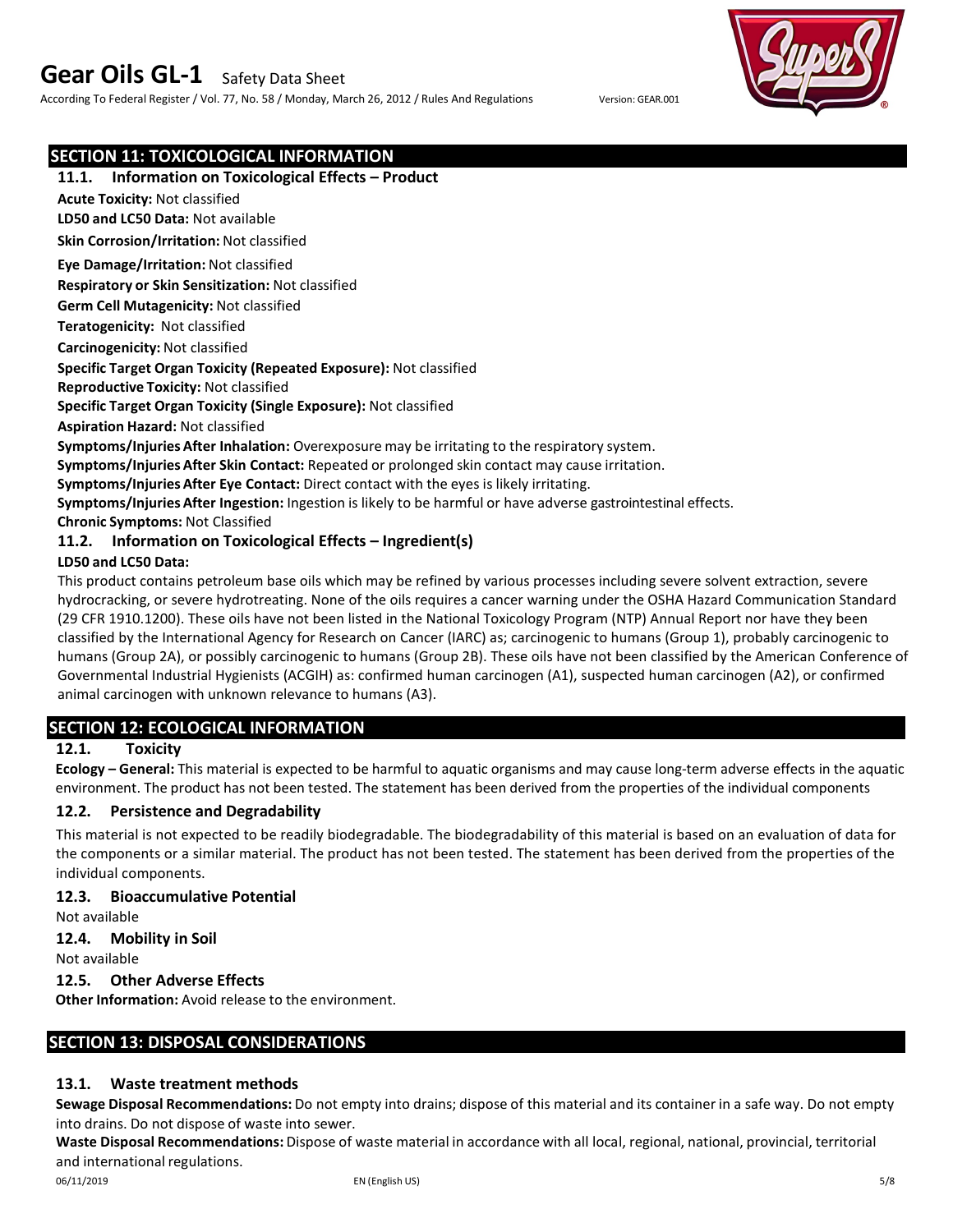According To Federal Register / Vol. 77, No. 58 / Monday, March 26, 2012 / Rules And Regulations Version: GEAR.001



# **SECTION 11: TOXICOLOGICAL INFORMATION**

### **11.1. Information on Toxicological Effects – Product**

**Acute Toxicity:** Not classified

**LD50 and LC50 Data:** Not available

**Skin Corrosion/Irritation:** Not classified

**Eye Damage/Irritation:** Not classified

**Respiratory or Skin Sensitization:** Not classified

**Germ Cell Mutagenicity:** Not classified

**Teratogenicity:** Not classified

**Carcinogenicity:** Not classified

### **Specific Target Organ Toxicity (Repeated Exposure):** Not classified

**Reproductive Toxicity:** Not classified

**Specific Target Organ Toxicity (Single Exposure):** Not classified

**Aspiration Hazard:** Not classified

**Symptoms/Injuries After Inhalation:** Overexposure may be irritating to the respiratory system.

**Symptoms/Injuries After Skin Contact:** Repeated or prolonged skin contact may cause irritation.

**Symptoms/Injuries After Eye Contact:** Direct contact with the eyes is likely irritating.

**Symptoms/Injuries After Ingestion:** Ingestion is likely to be harmful or have adverse gastrointestinal effects.

**Chronic Symptoms:** Not Classified

### **11.2. Information on Toxicological Effects – Ingredient(s)**

### **LD50 and LC50 Data:**

This product contains petroleum base oils which may be refined by various processes including severe solvent extraction, severe hydrocracking, or severe hydrotreating. None of the oils requires a cancer warning under the OSHA Hazard Communication Standard (29 CFR 1910.1200). These oils have not been listed in the National Toxicology Program (NTP) Annual Report nor have they been classified by the International Agency for Research on Cancer (IARC) as; carcinogenic to humans (Group 1), probably carcinogenic to humans (Group 2A), or possibly carcinogenic to humans (Group 2B). These oils have not been classified by the American Conference of Governmental Industrial Hygienists (ACGIH) as: confirmed human carcinogen (A1), suspected human carcinogen (A2), or confirmed animal carcinogen with unknown relevance to humans (A3).

# **SECTION 12: ECOLOGICAL INFORMATION**

# **12.1. Toxicity**

**Ecology – General:** This material is expected to be harmful to aquatic organisms and may cause long-term adverse effects in the aquatic environment. The product has not been tested. The statement has been derived from the properties of the individual components

### **12.2. Persistence and Degradability**

This material is not expected to be readily biodegradable. The biodegradability of this material is based on an evaluation of data for the components or a similar material. The product has not been tested. The statement has been derived from the properties of the individual components.

### **12.3. Bioaccumulative Potential**

Not available

### **12.4. Mobility in Soil**

Not available

### **12.5. Other Adverse Effects**

**Other Information:** Avoid release to the environment.

## **SECTION 13: DISPOSAL CONSIDERATIONS**

### **13.1. Waste treatment methods**

**Sewage Disposal Recommendations:** Do not empty into drains; dispose of this material and its container in a safe way. Do not empty into drains. Do not dispose of waste into sewer.

**Waste Disposal Recommendations:** Dispose of waste material in accordance with all local, regional, national, provincial, territorial and international regulations.